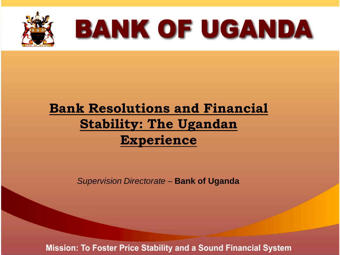

# **BANK OF UGANDA**

#### **Bank Resolutions and Financial Stability: The Ugandan Experience**

*Supervision Directorate* – **Bank of Uganda**

**Mission: To Foster Price Stability and a Sound Financial System**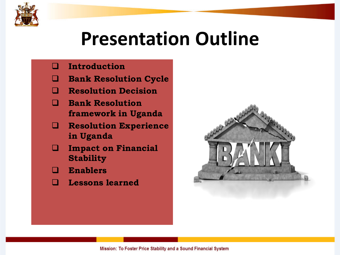

## **Presentation Outline**

#### **Introduction**

- **Bank Resolution Cycle**
- **Resolution Decision**
- **Bank Resolution framework in Uganda**
- **Resolution Experience in Uganda**
- **Impact on Financial Stability**
- **Enablers**
- **Lessons learned**

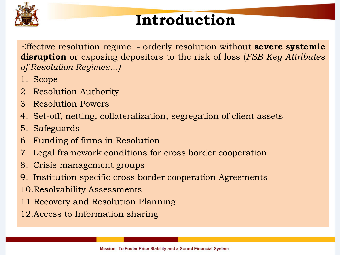

### **Introduction**

Effective resolution regime - orderly resolution without **severe systemic disruption** or exposing depositors to the risk of loss (*FSB Key Attributes of Resolution Regimes…)*

- 1. Scope
- 2. Resolution Authority
- 3. Resolution Powers
- 4. Set-off, netting, collateralization, segregation of client assets
- 5. Safeguards
- 6. Funding of firms in Resolution
- 7. Legal framework conditions for cross border cooperation
- 8. Crisis management groups
- 9. Institution specific cross border cooperation Agreements
- 10.Resolvability Assessments
- 11.Recovery and Resolution Planning
- 12.Access to Information sharing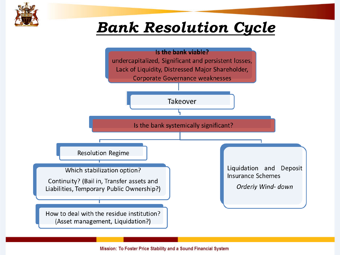

### *Bank Resolution Cycle*

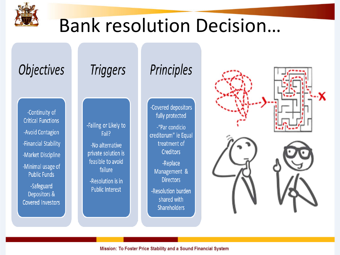

## Bank resolution Decision…

### **Objectives**

-Continuity of **Critical Functions** -Avoid Contagion -Financial Stability -Market Discipline -Minimal usage of **Public Funds** 

-Safeguard Depositors & **Covered Investors** 

#### **Triggers**

-Failing or Likely to Fail?

-No alternative private solution is feasible to avoid failure

-Resolution is in **Public Interest** 

#### Principles

-Covered depositors fully protected

-"Par condicio creditorum" ie Equal treatment of **Creditors** 

-Replace Management & **Directors** 

-Resolution burden shared with **Shareholders** 

Mission: To Foster Price Stability and a Sound Financial System

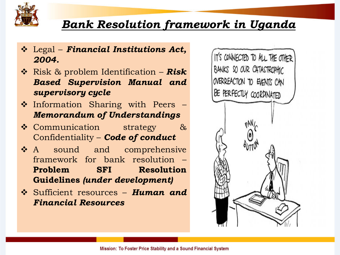

#### *Bank Resolution framework in Uganda*

- Legal *Financial Institutions Act, 2004.*
- Risk & problem Identification *Risk Based Supervision Manual and supervisory cycle*
- ❖ Information Sharing with Peers *Memorandum of Understandings*
- Communication strategy & Confidentiality – *Code of conduct*
- A sound and comprehensive framework for bank resolution – **Problem SFI Resolution Guidelines** *(under development)*
- Sufficient resources *Human and Financial Resources*

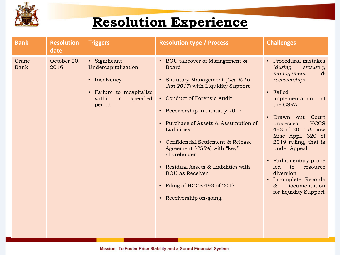

#### **Resolution Experience**

| <b>Bank</b>   | <b>Resolution</b><br>date | <b>Triggers</b>                                                                                                          | <b>Resolution type / Process</b>                                                                                                                                                                                                                                                                                                                                                                                                                                   | <b>Challenges</b>                                                                                                                                                                                                                                                                                                                                                                                                                        |
|---------------|---------------------------|--------------------------------------------------------------------------------------------------------------------------|--------------------------------------------------------------------------------------------------------------------------------------------------------------------------------------------------------------------------------------------------------------------------------------------------------------------------------------------------------------------------------------------------------------------------------------------------------------------|------------------------------------------------------------------------------------------------------------------------------------------------------------------------------------------------------------------------------------------------------------------------------------------------------------------------------------------------------------------------------------------------------------------------------------------|
| Crane<br>Bank | October 20,<br>2016       | • Significant<br>Undercapitalization<br>• Insolvency<br>• Failure to recapitalize<br>within<br>specified<br>a<br>period. | • BOU takeover of Management &<br><b>Board</b><br>• Statutory Management (Oct 2016-<br>Jan 2017) with Liquidity Support<br>• Conduct of Forensic Audit<br>• Receivership in January 2017<br>• Purchase of Assets & Assumption of<br>Liabilities<br>• Confidential Settlement & Release<br>Agreement (CSRA) with "key"<br>shareholder<br>• Residual Assets & Liabilities with<br><b>BOU</b> as Receiver<br>• Filing of HCCS 493 of 2017<br>• Receivership on-going. | • Procedural mistakes<br>(during)<br>statutory<br>management<br>$\infty$<br>receivership)<br>• Failed<br>implementation<br><sub>of</sub><br>the CSRA<br>• Drawn out Court<br><b>HCCS</b><br>processes,<br>493 of 2017 & now<br>Misc Appl. 320 of<br>2019 ruling, that is<br>under Appeal.<br>• Parliamentary probe<br>led<br>to<br>resource<br>diversion<br>• Incomplete Records<br>Documentation<br>$\delta s$<br>for liquidity Support |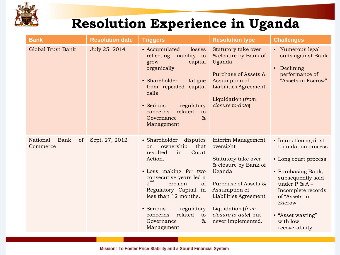

#### **Resolution Experience in Uganda**

| <b>Bank</b>                        | <b>Resolution date</b> | <b>Triggers</b>                                                                                                                                                                                                                                                                                                          | <b>Resolution type</b>                                                                                                                                                                                                        | <b>Challenges</b>                                                                                                                                                                                                                        |
|------------------------------------|------------------------|--------------------------------------------------------------------------------------------------------------------------------------------------------------------------------------------------------------------------------------------------------------------------------------------------------------------------|-------------------------------------------------------------------------------------------------------------------------------------------------------------------------------------------------------------------------------|------------------------------------------------------------------------------------------------------------------------------------------------------------------------------------------------------------------------------------------|
| <b>Global Trust Bank</b>           | July 25, 2014          | • Accumulated<br>losses<br>reflecting inability to<br>capital<br>grow<br>organically<br>• Shareholder<br>fatigue<br>capital<br>from repeated<br>calls<br>• Serious<br>regulatory<br>related<br>to<br>concerns<br>$\alpha$<br>Governance<br>Management                                                                    | Statutory take over<br>& closure by Bank of<br>Uganda<br>Purchase of Assets &<br>Assumption of<br><b>Liabilities Agreement</b><br>Liquidation (from<br>closure to-date)                                                       | • Numerous legal<br>suits against Bank<br>Declining<br>$\bullet$<br>performance of<br>"Assets in Escrow"                                                                                                                                 |
| National<br>Bank<br>of<br>Commerce | Sept. 27, 2012         | disputes<br>• Shareholder<br>ownership<br>that<br>on<br>resulted<br>Court<br>in<br>Action.<br>• Loss making for two<br>consecutive years led a<br>$2^{nd}$<br>erosion<br>of<br>Regulatory Capital in<br>less than 12 months.<br>• Serious<br>regulatory<br>related<br>to<br>concerns<br>$\&$<br>Governance<br>Management | Interim Management<br>oversight<br>Statutory take over<br>& closure by Bank of<br>Uganda<br>Purchase of Assets &<br>Assumption of<br>Liabilities Agreement<br>Liquidation (from<br>closure to-date) but<br>never implemented. | • Injunction against<br>Liquidation process<br>• Long court process<br>• Purchasing Bank,<br>subsequently sold<br>under $P$ & $A -$<br>Incomplete records<br>of "Assets in<br>Escrow"<br>• "Asset wasting"<br>with low<br>recoverability |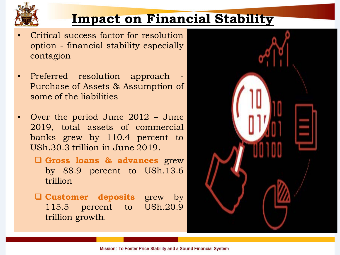

#### **Impact on Financial Stability**

- Critical success factor for resolution option - financial stability especially contagion
- Preferred resolution approach Purchase of Assets & Assumption of some of the liabilities
- Over the period June 2012 June 2019, total assets of commercial banks grew by 110.4 percent to USh.30.3 trillion in June 2019.
	- **Gross loans & advances** grew by 88.9 percent to USh.13.6 trillion
	- **Customer deposits** grew by 115.5 percent to USh.20.9 trillion growth.

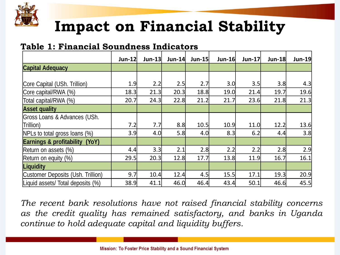

### **Impact on Financial Stability**

#### **Table 1: Financial Soundness Indicators**

|                                   | $Jun-12$ | Jun-13 | <b>Jun-14</b> | Jun-15 | $Jun-16$ | <b>Jun-17</b> | <b>Jun-18</b> | Jun-19 |
|-----------------------------------|----------|--------|---------------|--------|----------|---------------|---------------|--------|
| <b>Capital Adequacy</b>           |          |        |               |        |          |               |               |        |
|                                   |          |        |               |        |          |               |               |        |
| Core Capital (USh. Trillion)      | 1.9      | 2.2    | 2.5           | 2.7    | 3.0      | 3.5           | 3.8           | 4.3    |
| Core capital/RWA (%)              | 18.3     | 21.3   | 20.3          | 18.8   | 19.0     | 21.4          | 19.7          | 19.6   |
| Total capital/RWA (%)             | 20.7     | 24.3   | 22.8          | 21.2   | 21.7     | 23.6          | 21.8          | 21.3   |
| <b>Asset quality</b>              |          |        |               |        |          |               |               |        |
| Gross Loans & Advances (USh.      |          |        |               |        |          |               |               |        |
| Trillion)                         | 7.2      | 7.7    | 8.8           | 10.5   | 10.9     | 11.0          | 12.2          | 13.6   |
| NPLs to total gross loans (%)     | 3.9      | 4.0    | 5.8           | 4.0    | 8.3      | 6.2           | 4.4           | 3.8    |
| Earnings & profitability<br>(YoY) |          |        |               |        |          |               |               |        |
| Return on assets (%)              | 4.4      | 3.3    | 2.1           | 2.8    | 2.2      | 2.2           | 2.8           | 2.9    |
| Return on equity (%)              | 29.5     | 20.3   | 12.8          | 17.7   | 13.8     | 11.9          | 16.7          | 16.1   |
| Liquidity                         |          |        |               |        |          |               |               |        |
| Customer Deposits (Ush. Trillion) | 9.7      | 10.4   | 12.4          | 4.5    | 15.5     | 17.1          | 19.3          | 20.9   |
| Liquid assets/ Total deposits (%) | 38.9     | 41.1   | 46.0          | 46.4   | 43.4     | 50.1          | 46.6          | 45.5   |

*The recent bank resolutions have not raised financial stability concerns as the credit quality has remained satisfactory, and banks in Uganda continue to hold adequate capital and liquidity buffers.*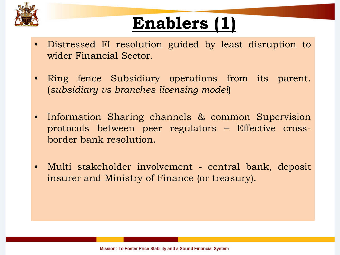

## **Enablers (1)**

- Distressed FI resolution guided by least disruption to wider Financial Sector.
- Ring fence Subsidiary operations from its parent. (*subsidiary vs branches licensing model*)
- Information Sharing channels & common Supervision protocols between peer regulators – Effective crossborder bank resolution.
- Multi stakeholder involvement central bank, deposit insurer and Ministry of Finance (or treasury).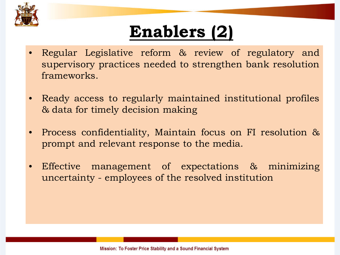

## **Enablers (2)**

- Regular Legislative reform & review of regulatory and supervisory practices needed to strengthen bank resolution frameworks.
- Ready access to regularly maintained institutional profiles & data for timely decision making
- Process confidentiality, Maintain focus on FI resolution & prompt and relevant response to the media.
- Effective management of expectations & minimizing uncertainty - employees of the resolved institution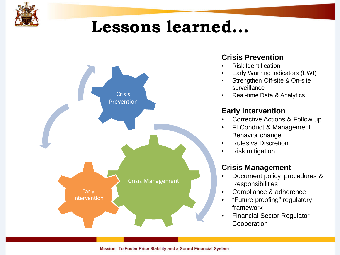

### **Lessons learned…**



#### **Crisis Prevention**

- Risk Identification
- Early Warning Indicators (EWI)
- Strengthen Off-site & On-site surveillance
- Real-time Data & Analytics

#### **Early Intervention**

- Corrective Actions & Follow up
- **FI Conduct & Management** Behavior change
- Rules vs Discretion
- Risk mitigation

#### **Crisis Management**

- Document policy, procedures & **Responsibilities**
- Compliance & adherence
- "Future proofing" regulatory framework
- Financial Sector Regulator **Cooperation**